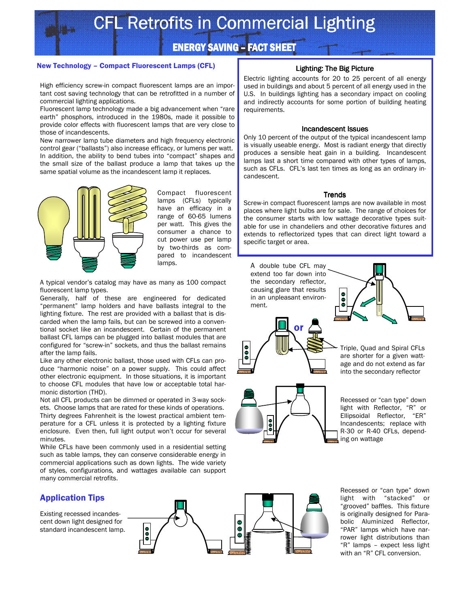# CFL Retrofits in Commercial Lighting

## **ENERGY SAVING – FACT SHEET**

#### New Technology – Compact Fluorescent Lamps (CFL)

High efficiency screw-in compact fluorescent lamps are an important cost saving technology that can be retrofitted in a number of commercial lighting applications.

Fluorescent lamp technology made a big advancement when "rare earth" phosphors, introduced in the 1980s, made it possible to provide color effects with fluorescent lamps that are very close to those of incandescents.

New narrower lamp tube diameters and high frequency electronic control gear ("ballasts") also increase efficacy, or lumens per watt. In addition, the ability to bend tubes into "compact" shapes and the small size of the ballast produce a lamp that takes up the same spatial volume as the incandescent lamp it replaces.



Compact fluorescent lamps (CFLs) typically have an efficacy in a range of 60-65 lumens per watt. This gives the consumer a chance to cut power use per lamp by two-thirds as compared to incandescent lamps.

A typical vendor's catalog may have as many as 100 compact fluorescent lamp types.

Generally, half of these are engineered for dedicated "permanent" lamp holders and have ballasts integral to the lighting fixture. The rest are provided with a ballast that is discarded when the lamp fails, but can be screwed into a conventional socket like an incandescent. Certain of the permanent ballast CFL lamps can be plugged into ballast modules that are configured for "screw-in" sockets, and thus the ballast remains after the lamp fails.

Like any other electronic ballast, those used with CFLs can produce "harmonic noise" on a power supply. This could affect other electronic equipment. In those situations, it is important to choose CFL modules that have low or acceptable total harmonic distortion (THD).

Not all CFL products can be dimmed or operated in 3-way sockets. Choose lamps that are rated for these kinds of operations.

Thirty degrees Fahrenheit is the lowest practical ambient temperature for a CFL unless it is protected by a lighting fixture enclosure. Even then, full light output won't occur for several minutes.

While CFLs have been commonly used in a residential setting such as table lamps, they can conserve considerable energy in commercial applications such as down lights. The wide variety of styles, configurations, and wattages available can support many commercial retrofits.

## Application Tips

Existing recessed incandescent down light designed for standard incandescent lamp.



Recessed or "can type" down light with "stacked" or "grooved" baffles. This fixture is originally designed for Parabolic Aluminized Reflector, "PAR" lamps which have narrower light distributions than "R" lamps – expect less light with an "R" CFL conversion.

#### Lighting: The Big Picture

Electric lighting accounts for 20 to 25 percent of all energy used in buildings and about 5 percent of all energy used in the U.S. In buildings lighting has a secondary impact on cooling and indirectly accounts for some portion of building heating requirements.

#### Incandescent Issues

Only 10 percent of the output of the typical incandescent lamp is visually useable energy. Most is radiant energy that directly produces a sensible heat gain in a building. Incandescent lamps last a short time compared with other types of lamps, such as CFLs. CFL's last ten times as long as an ordinary incandescent.

#### **Trends**

Screw-in compact fluorescent lamps are now available in most places where light bulbs are for sale. The range of choices for the consumer starts with low wattage decorative types suitable for use in chandeliers and other decorative fixtures and extends to reflectorized types that can direct light toward a specific target or area.